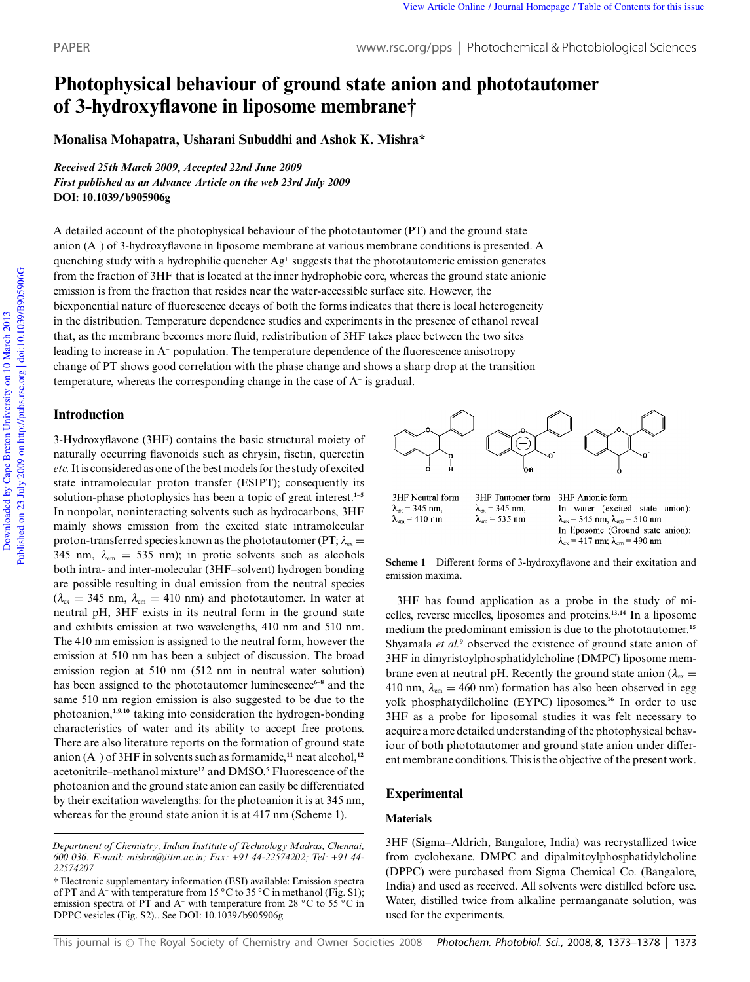# **Photophysical behaviour of ground state anion and phototautomer of 3-hydroxyflavone in liposome membrane†**

**Monalisa Mohapatra, Usharani Subuddhi and Ashok K. Mishra\***

*Received 25th March 2009, Accepted 22nd June 2009 First published as an Advance Article on the web 23rd July 2009* **DOI: 10.1039/b905906g**

A detailed account of the photophysical behaviour of the phototautomer (PT) and the ground state anion (A<sup>-</sup>) of 3-hydroxyflavone in liposome membrane at various membrane conditions is presented. A quenching study with a hydrophilic quencher  $Ag^+$  suggests that the phototautomeric emission generates from the fraction of 3HF that is located at the inner hydrophobic core, whereas the ground state anionic emission is from the fraction that resides near the water-accessible surface site. However, the biexponential nature of fluorescence decays of both the forms indicates that there is local heterogeneity in the distribution. Temperature dependence studies and experiments in the presence of ethanol reveal that, as the membrane becomes more fluid, redistribution of 3HF takes place between the two sites leading to increase in A- population. The temperature dependence of the fluorescence anisotropy change of PT shows good correlation with the phase change and shows a sharp drop at the transition temperature, whereas the corresponding change in the case of A<sup>-</sup> is gradual.

# **Introduction**

3-Hydroxyflavone (3HF) contains the basic structural moiety of naturally occurring flavonoids such as chrysin, fisetin, quercetin *etc.*It is considered as one of the best models for the study of excited state intramolecular proton transfer (ESIPT); consequently its solution-phase photophysics has been a topic of great interest.**1–5** In nonpolar, noninteracting solvents such as hydrocarbons, 3HF mainly shows emission from the excited state intramolecular proton-transferred species known as the phototautomer (PT;  $\lambda_{ex}$  = 345 nm,  $\lambda_{\rm em}$  = 535 nm); in protic solvents such as alcohols both intra- and inter-molecular (3HF–solvent) hydrogen bonding are possible resulting in dual emission from the neutral species  $(\lambda_{\text{ex}} = 345 \text{ nm}, \lambda_{\text{em}} = 410 \text{ nm})$  and phototautomer. In water at neutral pH, 3HF exists in its neutral form in the ground state and exhibits emission at two wavelengths, 410 nm and 510 nm. The 410 nm emission is assigned to the neutral form, however the emission at 510 nm has been a subject of discussion. The broad emission region at 510 nm (512 nm in neutral water solution) has been assigned to the phototautomer luminescence**6–8** and the same 510 nm region emission is also suggested to be due to the photoanion,**1,9,10** taking into consideration the hydrogen-bonding characteristics of water and its ability to accept free protons. There are also literature reports on the formation of ground state anion (A- ) of 3HF in solvents such as formamide,**<sup>11</sup>** neat alcohol,**<sup>12</sup>** acetonitrile–methanol mixture**<sup>12</sup>** and DMSO.**<sup>5</sup>** Fluorescence of the photoanion and the ground state anion can easily be differentiated by their excitation wavelengths: for the photoanion it is at 345 nm, whereas for the ground state anion it is at 417 nm (Scheme 1).



3HF Neutral form 3HF Tautomer form 3HF Anionic form  $\lambda_{\rm ex}$  = 345 nm,  $\lambda_{\rm ex}$  = 345 nm, In water (excited state anion):  $\lambda_{em}$  = 535 nm  $\lambda_{em}$  = 410 nm  $\lambda_{\rm ex}$  = 345 nm;  $\lambda_{\rm em}$  = 510 nm In liposome (Ground state anion):  $\lambda_{\rm ex}$  = 417 nm;  $\lambda_{\rm em}$  = 490 nm

**Scheme 1** Different forms of 3-hydroxyflavone and their excitation and emission maxima.

3HF has found application as a probe in the study of micelles, reverse micelles, liposomes and proteins.**13,14** In a liposome medium the predominant emission is due to the phototautomer.**<sup>15</sup>** Shyamala *et al.***<sup>9</sup>** observed the existence of ground state anion of 3HF in dimyristoylphosphatidylcholine (DMPC) liposome membrane even at neutral pH. Recently the ground state anion ( $\lambda_{\text{ex}} =$ 410 nm,  $\lambda_{\rm em} = 460$  nm) formation has also been observed in egg yolk phosphatydilcholine (EYPC) liposomes.**<sup>16</sup>** In order to use 3HF as a probe for liposomal studies it was felt necessary to acquire a more detailed understanding of the photophysical behaviour of both phototautomer and ground state anion under different membrane conditions. This is the objective of the present work.

# **Experimental**

## **Materials**

3HF (Sigma–Aldrich, Bangalore, India) was recrystallized twice from cyclohexane. DMPC and dipalmitoylphosphatidylcholine (DPPC) were purchased from Sigma Chemical Co. (Bangalore, India) and used as received. All solvents were distilled before use. Water, distilled twice from alkaline permanganate solution, was used for the experiments.

*Department of Chemistry, Indian Institute of Technology Madras, Chennai, 600 036. E-mail: mishra@iitm.ac.in; Fax: +91 44-22574202; Tel: +91 44- 22574207*

<sup>†</sup> Electronic supplementary information (ESI) available: Emission spectra of PT and A<sup>-</sup> with temperature from 15 °C to 35 °C in methanol (Fig. S1); emission spectra of PT and A<sup>-</sup> with temperature from 28  $\rm{^{\circ}C}$  to 55  $\rm{^{\circ}C}$  in DPPC vesicles (Fig. S2).. See DOI: 10.1039/b905906g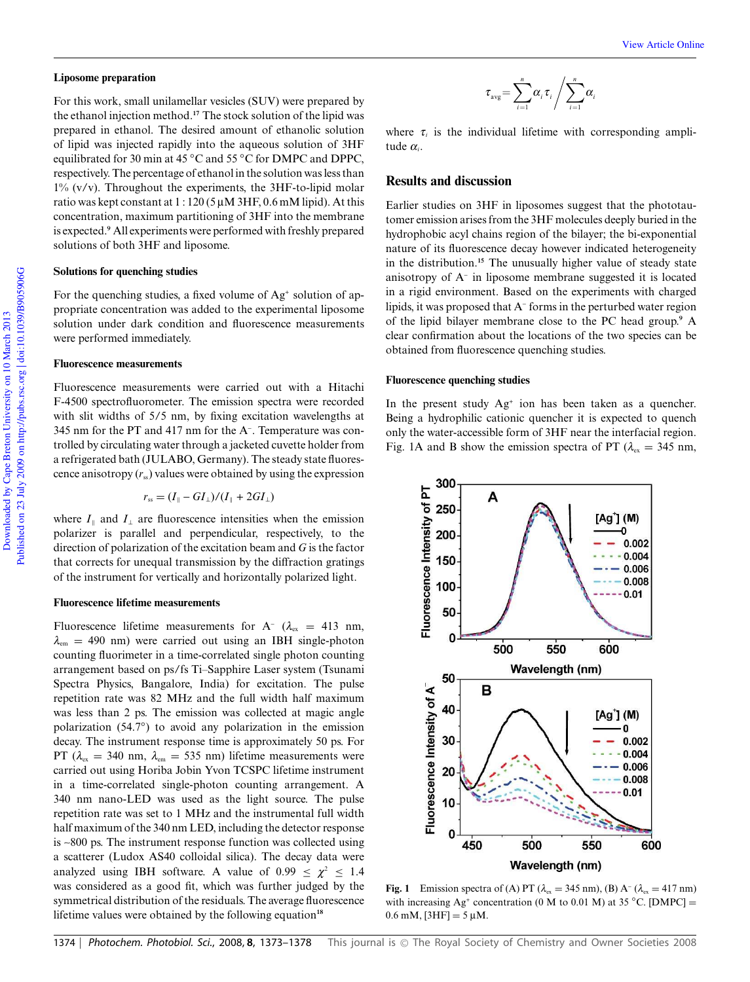#### **Liposome preparation**

For this work, small unilamellar vesicles (SUV) were prepared by the ethanol injection method.**<sup>17</sup>** The stock solution of the lipid was prepared in ethanol. The desired amount of ethanolic solution of lipid was injected rapidly into the aqueous solution of 3HF equilibrated for 30 min at 45 ◦C and 55 ◦C for DMPC and DPPC, respectively. The percentage of ethanol in the solution was less than  $1\%$  (v/v). Throughout the experiments, the 3HF-to-lipid molar ratio was kept constant at  $1:120(5 \mu M)$  3HF, 0.6 mM lipid). At this concentration, maximum partitioning of 3HF into the membrane is expected.**<sup>9</sup>** All experiments were performed with freshly prepared solutions of both 3HF and liposome.

#### **Solutions for quenching studies**

For the quenching studies, a fixed volume of Ag<sup>+</sup> solution of appropriate concentration was added to the experimental liposome solution under dark condition and fluorescence measurements were performed immediately.

#### **Fluorescence measurements**

Fluorescence measurements were carried out with a Hitachi F-4500 spectrofluorometer. The emission spectra were recorded with slit widths of 5/5 nm, by fixing excitation wavelengths at 345 nm for the PT and 417 nm for the A<sup>-</sup>. Temperature was controlled by circulating water through a jacketed cuvette holder from a refrigerated bath (JULABO, Germany). The steady state fluorescence anisotropy  $(r_{\rm ss})$  values were obtained by using the expression

$$
r_{ss} = (I_{\parallel} - GI_{\perp})/(I_{\parallel} + 2GI_{\perp})
$$

where  $I_{\parallel}$  and  $I_{\perp}$  are fluorescence intensities when the emission polarizer is parallel and perpendicular, respectively, to the direction of polarization of the excitation beam and *G* is the factor that corrects for unequal transmission by the diffraction gratings of the instrument for vertically and horizontally polarized light.

#### **Fluorescence lifetime measurements**

Fluorescence lifetime measurements for  $A^-$  ( $\lambda_{ex}$  = 413 nm,  $\lambda_{\rm em}$  = 490 nm) were carried out using an IBH single-photon counting fluorimeter in a time-correlated single photon counting arrangement based on ps/fs Ti–Sapphire Laser system (Tsunami Spectra Physics, Bangalore, India) for excitation. The pulse repetition rate was 82 MHz and the full width half maximum was less than 2 ps. The emission was collected at magic angle polarization (54.7◦ ) to avoid any polarization in the emission decay. The instrument response time is approximately 50 ps. For PT ( $\lambda_{\text{ex}} = 340$  nm,  $\lambda_{\text{em}} = 535$  nm) lifetime measurements were carried out using Horiba Jobin Yvon TCSPC lifetime instrument in a time-correlated single-photon counting arrangement. A 340 nm nano-LED was used as the light source. The pulse repetition rate was set to 1 MHz and the instrumental full width half maximum of the 340 nm LED, including the detector response is ~800 ps. The instrument response function was collected using a scatterer (Ludox AS40 colloidal silica). The decay data were analyzed using IBH software. A value of  $0.99 \leq \chi^2 \leq 1.4$ was considered as a good fit, which was further judged by the symmetrical distribution of the residuals. The average fluorescence lifetime values were obtained by the following equation<sup>18</sup>

$$
\tau_{\text{avg}} = \sum_{i=1}^{n} \alpha_i \tau_i / \sum_{i=1}^{n} \alpha_i
$$

where  $\tau$ <sub>*i*</sub> is the individual lifetime with corresponding amplitude  $\alpha_i$ .

# **Results and discussion**

Earlier studies on 3HF in liposomes suggest that the phototautomer emission arises from the 3HF molecules deeply buried in the hydrophobic acyl chains region of the bilayer; the bi-exponential nature of its fluorescence decay however indicated heterogeneity in the distribution.**<sup>15</sup>** The unusually higher value of steady state anisotropy of A<sup>-</sup> in liposome membrane suggested it is located in a rigid environment. Based on the experiments with charged lipids, it was proposed that  $A^-$  forms in the perturbed water region of the lipid bilayer membrane close to the PC head group.**<sup>9</sup>** A clear confirmation about the locations of the two species can be obtained from fluorescence quenching studies.

## **Fluorescence quenching studies**

In the present study Ag<sup>+</sup> ion has been taken as a quencher. Being a hydrophilic cationic quencher it is expected to quench only the water-accessible form of 3HF near the interfacial region. Fig. 1A and B show the emission spectra of PT ( $\lambda_{\rm ex} = 345$  nm,



**Fig. 1** Emission spectra of (A) PT ( $\lambda_{\text{ex}} = 345 \text{ nm}$ ), (B) A<sup>-</sup> ( $\lambda_{\text{ex}} = 417 \text{ nm}$ ) with increasing  $Ag^+$  concentration (0 M to 0.01 M) at 35 °C. [DMPC] =  $0.6$  mM,  $[3HF] = 5 \mu M$ .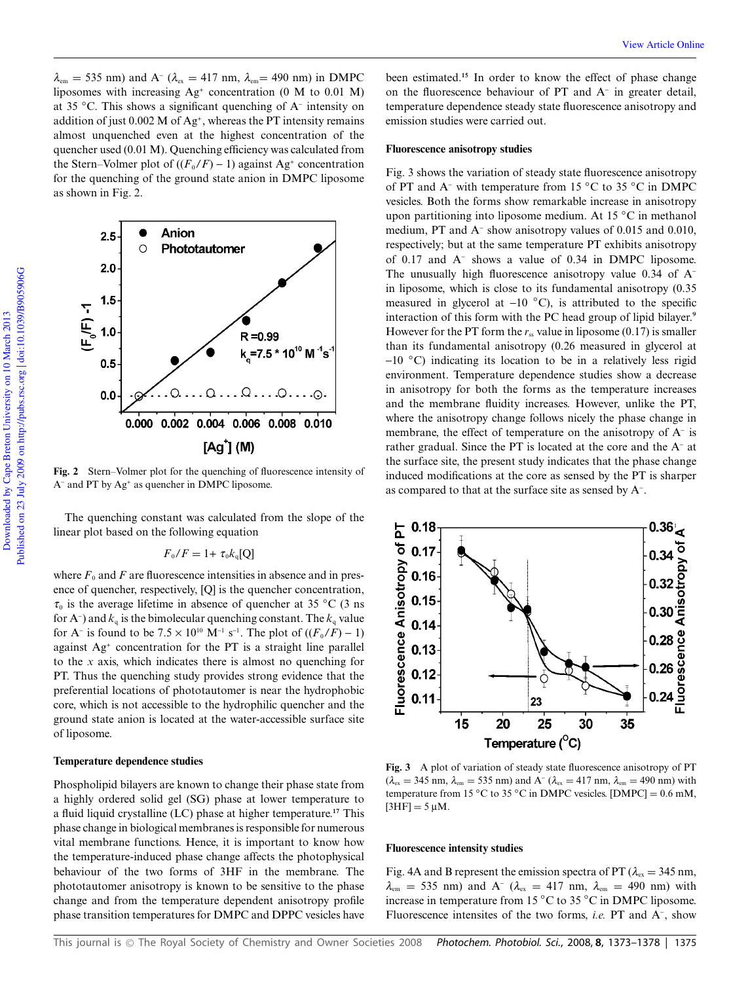Published on 23 July 2009 on http://pubs.rsc.org doi:10.1039/B905906G Published on 23 July 2009 on http://pubs.rsc.org | doi:10.1039/B905906G Downloaded by Cape Breton University on 10 March 2013 Downloaded by Cape Breton University on 10 March 2013

 $\lambda_{\rm em} = 535$  nm) and A<sup>-</sup> ( $\lambda_{\rm ex} = 417$  nm,  $\lambda_{\rm em} = 490$  nm) in DMPC liposomes with increasing Ag<sup>+</sup> concentration (0 M to 0.01 M) at 35  $\degree$ C. This shows a significant quenching of A<sup>-</sup> intensity on addition of just  $0.002 \text{ M}$  of  $\text{Ag}^{\scriptscriptstyle +}$ , whereas the PT intensity remains almost unquenched even at the highest concentration of the quencher used (0.01 M). Quenching efficiency was calculated from the Stern–Volmer plot of  $((F_0/F) - 1)$  against Ag<sup>+</sup> concentration for the quenching of the ground state anion in DMPC liposome as shown in Fig. 2.



**Fig. 2** Stern–Volmer plot for the quenching of fluorescence intensity of A- and PT by Ag<sup>+</sup> as quencher in DMPC liposome.

The quenching constant was calculated from the slope of the linear plot based on the following equation

$$
F_0/F = 1 + \tau_0 k_{\rm q}[Q]
$$

where  $F_0$  and  $F$  are fluorescence intensities in absence and in presence of quencher, respectively, [Q] is the quencher concentration,  $\tau_0$  is the average lifetime in absence of quencher at 35 °C (3 ns for A<sup>-</sup>) and  $k_q$  is the bimolecular quenching constant. The  $k_q$  value for A<sup>-</sup> is found to be  $7.5 \times 10^{10}$  M<sup>-1</sup> s<sup>-1</sup>. The plot of  $((F_0/F) - 1)$ against Ag<sup>+</sup> concentration for the PT is a straight line parallel to the *x* axis, which indicates there is almost no quenching for PT. Thus the quenching study provides strong evidence that the preferential locations of phototautomer is near the hydrophobic core, which is not accessible to the hydrophilic quencher and the ground state anion is located at the water-accessible surface site of liposome.

### **Temperature dependence studies**

Phospholipid bilayers are known to change their phase state from a highly ordered solid gel (SG) phase at lower temperature to a fluid liquid crystalline (LC) phase at higher temperature.**<sup>17</sup>** This phase change in biological membranes is responsible for numerous vital membrane functions. Hence, it is important to know how the temperature-induced phase change affects the photophysical behaviour of the two forms of 3HF in the membrane. The phototautomer anisotropy is known to be sensitive to the phase change and from the temperature dependent anisotropy profile phase transition temperatures for DMPC and DPPC vesicles have

been estimated.**<sup>15</sup>** In order to know the effect of phase change on the fluorescence behaviour of  $PT$  and  $A^-$  in greater detail, temperature dependence steady state fluorescence anisotropy and emission studies were carried out.

#### **Fluorescence anisotropy studies**

Fig. 3 shows the variation of steady state fluorescence anisotropy of PT and A<sup>-</sup> with temperature from 15  $\degree$ C to 35  $\degree$ C in DMPC vesicles. Both the forms show remarkable increase in anisotropy upon partitioning into liposome medium. At 15 ◦C in methanol medium, PT and A<sup>-</sup> show anisotropy values of 0.015 and 0.010, respectively; but at the same temperature PT exhibits anisotropy of 0.17 and A-shows a value of 0.34 in DMPC liposome. The unusually high fluorescence anisotropy value 0.34 of Ain liposome, which is close to its fundamental anisotropy (0.35 measured in glycerol at  $-10$  °C), is attributed to the specific interaction of this form with the PC head group of lipid bilayer.**<sup>9</sup>** However for the PT form the  $r_{ss}$  value in liposome (0.17) is smaller than its fundamental anisotropy (0.26 measured in glycerol at  $-10$  °C) indicating its location to be in a relatively less rigid environment. Temperature dependence studies show a decrease in anisotropy for both the forms as the temperature increases and the membrane fluidity increases. However, unlike the PT, where the anisotropy change follows nicely the phase change in membrane, the effect of temperature on the anisotropy of  $A^-$  is rather gradual. Since the PT is located at the core and the A- at the surface site, the present study indicates that the phase change induced modifications at the core as sensed by the PT is sharper as compared to that at the surface site as sensed by A- .



**Fig. 3** A plot of variation of steady state fluorescence anisotropy of PT  $(\lambda_{\text{ex}} = 345 \text{ nm}, \lambda_{\text{em}} = 535 \text{ nm})$  and A<sup>-</sup> ( $\lambda_{\text{ex}} = 417 \text{ nm}, \lambda_{\text{em}} = 490 \text{ nm})$  with temperature from 15  $^{\circ}$ C to 35  $^{\circ}$ C in DMPC vesicles. [DMPC] = 0.6 mM,  $[3HF] = 5 \mu M$ .

#### **Fluorescence intensity studies**

Fig. 4A and B represent the emission spectra of PT ( $\lambda_{\text{ex}} = 345 \text{ nm}$ ,  $\lambda_{\rm em}$  = 535 nm) and A<sup>-</sup> ( $\lambda_{\rm ex}$  = 417 nm,  $\lambda_{\rm em}$  = 490 nm) with increase in temperature from 15 ◦C to 35 ◦C in DMPC liposome. Fluorescence intensites of the two forms, *i.e.* PT and A<sup>-</sup>, show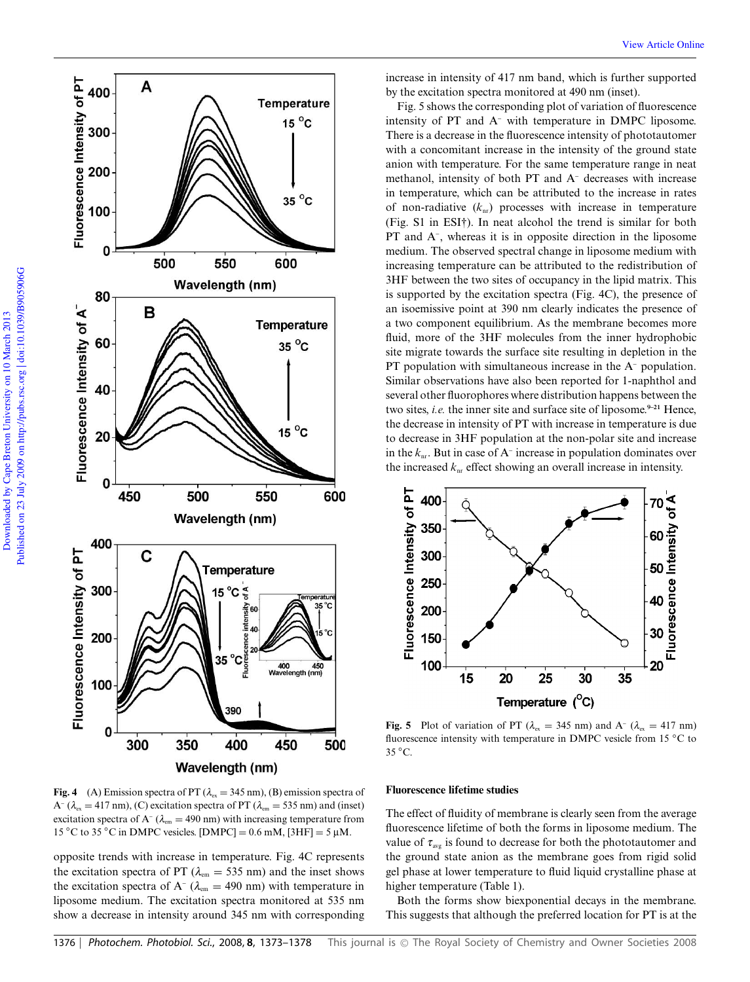

**Fig. 4** (A) Emission spectra of PT ( $\lambda_{ex} = 345$  nm), (B) emission spectra of  $A^{-}$  ( $\lambda_{\text{ex}} = 417 \text{ nm}$ ), (C) excitation spectra of PT ( $\lambda_{\text{em}} = 535 \text{ nm}$ ) and (inset) excitation spectra of  $A^- (\lambda_{em} = 490 \text{ nm})$  with increasing temperature from 15 °C to 35 °C in DMPC vesicles. [DMPC] = 0.6 mM, [3HF] = 5  $\mu$ M.

opposite trends with increase in temperature. Fig. 4C represents the excitation spectra of PT ( $\lambda_{em}$  = 535 nm) and the inset shows the excitation spectra of  $A<sup>-</sup>$  ( $\lambda_{cm}$  = 490 nm) with temperature in liposome medium. The excitation spectra monitored at 535 nm show a decrease in intensity around 345 nm with corresponding increase in intensity of 417 nm band, which is further supported by the excitation spectra monitored at 490 nm (inset).

Fig. 5 shows the corresponding plot of variation of fluorescence intensity of PT and A<sup>-</sup> with temperature in DMPC liposome. There is a decrease in the fluorescence intensity of phototautomer with a concomitant increase in the intensity of the ground state anion with temperature. For the same temperature range in neat methanol, intensity of both PT and A<sup>-</sup> decreases with increase in temperature, which can be attributed to the increase in rates of non-radiative  $(k_{nr})$  processes with increase in temperature (Fig. S1 in ESI†). In neat alcohol the trend is similar for both PT and A<sup>-</sup>, whereas it is in opposite direction in the liposome medium. The observed spectral change in liposome medium with increasing temperature can be attributed to the redistribution of 3HF between the two sites of occupancy in the lipid matrix. This is supported by the excitation spectra (Fig. 4C), the presence of an isoemissive point at 390 nm clearly indicates the presence of a two component equilibrium. As the membrane becomes more fluid, more of the 3HF molecules from the inner hydrophobic site migrate towards the surface site resulting in depletion in the PT population with simultaneous increase in the A<sup>-</sup> population. Similar observations have also been reported for 1-naphthol and several other fluorophores where distribution happens between the two sites, *i.e.* the inner site and surface site of liposome.**9–21** Hence, the decrease in intensity of PT with increase in temperature is due to decrease in 3HF population at the non-polar site and increase in the  $k_{\text{nr}}$ . But in case of A<sup>-</sup> increase in population dominates over the increased  $k_{\text{nr}}$  effect showing an overall increase in intensity.



**Fig. 5** Plot of variation of PT ( $\lambda_{\text{ex}} = 345$  nm) and A<sup>-</sup> ( $\lambda_{\text{ex}} = 417$  nm) fluorescence intensity with temperature in DMPC vesicle from 15 °C to  $35^{\circ}$ C.

## **Fluorescence lifetime studies**

The effect of fluidity of membrane is clearly seen from the average fluorescence lifetime of both the forms in liposome medium. The value of  $\tau_{\text{avg}}$  is found to decrease for both the phototautomer and the ground state anion as the membrane goes from rigid solid gel phase at lower temperature to fluid liquid crystalline phase at higher temperature (Table 1).

Both the forms show biexponential decays in the membrane. This suggests that although the preferred location for PT is at the

<sup>1376</sup> | *Photochem. Photobiol. Sci.*, 2008, **8**, 1373–1378 This journal is © The Royal Society of Chemistry and Owner Societies 2008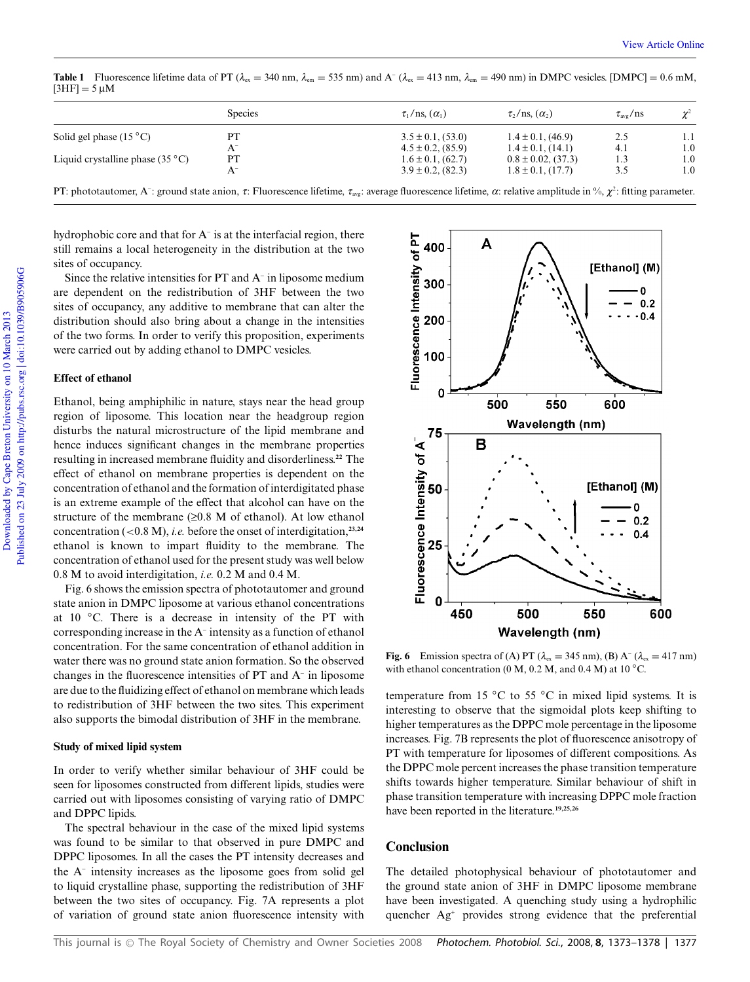|                                          | <b>Species</b> | $\tau_1$ /ns. $(\alpha_1)$ | $\tau_2$ /ns, $(\alpha_2)$ | $\tau_{\rm av}$ /ns | $\gamma^2$ |
|------------------------------------------|----------------|----------------------------|----------------------------|---------------------|------------|
| Solid gel phase $(15^{\circ}C)$          | PТ             | $3.5 \pm 0.1$ , (53.0)     | $1.4 \pm 0.1$ , (46.9)     | 2.5                 | 1.1        |
|                                          | $A^{-}$        | $4.5 \pm 0.2$ , (85.9)     | $1.4 \pm 0.1$ , (14.1)     | 4.1                 | 1.0        |
| Liquid crystalline phase $(35^{\circ}C)$ | PT             | $1.6 \pm 0.1$ , (62.7)     | $0.8 \pm 0.02$ , (37.3)    | 1.3                 | 1.0        |
|                                          | $A^{-}$        | $3.9 \pm 0.2$ , (82.3)     | $1.8 \pm 0.1$ , (17.7)     | 3.5                 | 1.0        |

**Table 1** Fluorescence lifetime data of PT ( $\lambda_{\text{ex}} = 340 \text{ nm}$ ,  $\lambda_{\text{em}} = 535 \text{ nm}$ ) and A<sup>-</sup> ( $\lambda_{\text{ex}} = 413 \text{ nm}$ ,  $\lambda_{\text{em}} = 490 \text{ nm}$ ) in DMPC vesicles. [DMPC] = 0.6 mM,  $[3HF] = 5 \text{ uM}$ 

hydrophobic core and that for A<sup>-</sup> is at the interfacial region, there still remains a local heterogeneity in the distribution at the two sites of occupancy.

Since the relative intensities for PT and A<sup>-</sup> in liposome medium are dependent on the redistribution of 3HF between the two sites of occupancy, any additive to membrane that can alter the distribution should also bring about a change in the intensities of the two forms. In order to verify this proposition, experiments were carried out by adding ethanol to DMPC vesicles.

## **Effect of ethanol**

Ethanol, being amphiphilic in nature, stays near the head group region of liposome. This location near the headgroup region disturbs the natural microstructure of the lipid membrane and hence induces significant changes in the membrane properties resulting in increased membrane fluidity and disorderliness.**<sup>22</sup>** The effect of ethanol on membrane properties is dependent on the concentration of ethanol and the formation of interdigitated phase is an extreme example of the effect that alcohol can have on the structure of the membrane  $(≥0.8 \text{ M of ethanol})$ . At low ethanol concentration (<0.8 M), *i.e.* before the onset of interdigitation,**23,24** ethanol is known to impart fluidity to the membrane. The concentration of ethanol used for the present study was well below 0.8 M to avoid interdigitation, *i.e.* 0.2 M and 0.4 M.

Fig. 6 shows the emission spectra of phototautomer and ground state anion in DMPC liposome at various ethanol concentrations at 10  $°C$ . There is a decrease in intensity of the PT with corresponding increase in the  $A^-$  intensity as a function of ethanol concentration. For the same concentration of ethanol addition in water there was no ground state anion formation. So the observed changes in the fluorescence intensities of PT and A<sup>-</sup> in liposome are due to the fluidizing effect of ethanol on membrane which leads to redistribution of 3HF between the two sites. This experiment also supports the bimodal distribution of 3HF in the membrane.

## **Study of mixed lipid system**

In order to verify whether similar behaviour of 3HF could be seen for liposomes constructed from different lipids, studies were carried out with liposomes consisting of varying ratio of DMPC and DPPC lipids.

The spectral behaviour in the case of the mixed lipid systems was found to be similar to that observed in pure DMPC and DPPC liposomes. In all the cases the PT intensity decreases and the A-intensity increases as the liposome goes from solid gel to liquid crystalline phase, supporting the redistribution of 3HF between the two sites of occupancy. Fig. 7A represents a plot of variation of ground state anion fluorescence intensity with



**Fig. 6** Emission spectra of (A) PT ( $\lambda_{\text{ex}} = 345 \text{ nm}$ ), (B) A<sup>-</sup> ( $\lambda_{\text{ex}} = 417 \text{ nm}$ ) with ethanol concentration (0 M, 0.2 M, and 0.4 M) at 10  $^{\circ}$ C.

temperature from 15 ◦C to 55 ◦C in mixed lipid systems. It is interesting to observe that the sigmoidal plots keep shifting to higher temperatures as the DPPC mole percentage in the liposome increases. Fig. 7B represents the plot of fluorescence anisotropy of PT with temperature for liposomes of different compositions. As the DPPC mole percent increases the phase transition temperature shifts towards higher temperature. Similar behaviour of shift in phase transition temperature with increasing DPPC mole fraction have been reported in the literature.**19,25,26**

## **Conclusion**

The detailed photophysical behaviour of phototautomer and the ground state anion of 3HF in DMPC liposome membrane have been investigated. A quenching study using a hydrophilic quencher Ag<sup>+</sup> provides strong evidence that the preferential